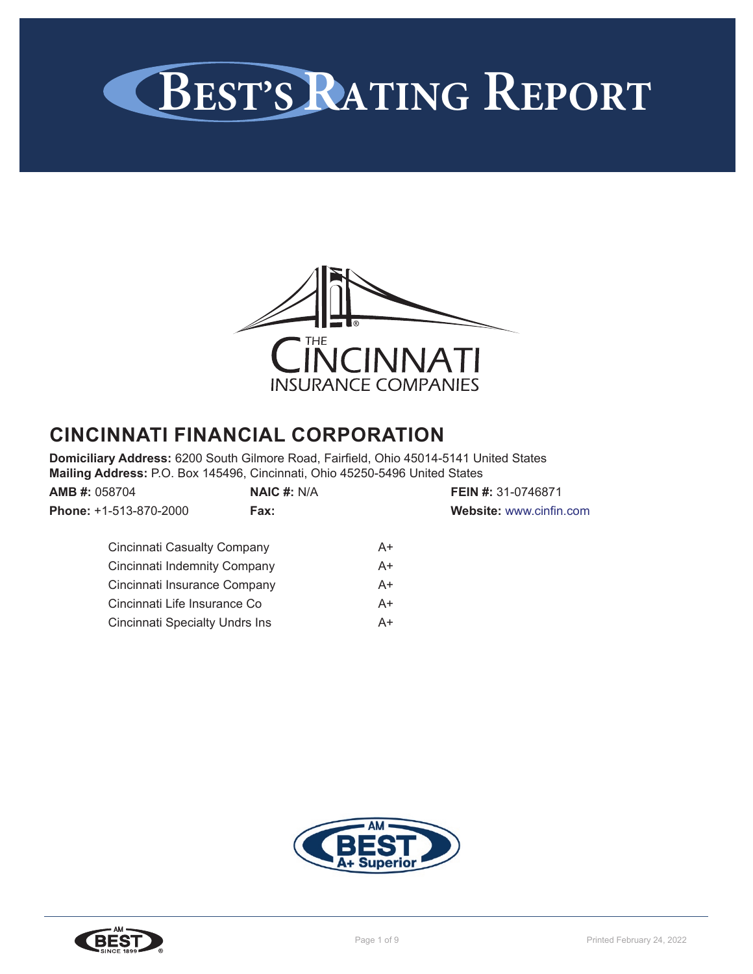



# **CINCINNATI FINANCIAL CORPORATION**

**Domiciliary Address:** 6200 South Gilmore Road, Fairfield, Ohio 45014-5141 United States **Mailing Address:** P.O. Box 145496, Cincinnati, Ohio 45250-5496 United States

| <b>AMB #: 058704</b>                  | NAIC $#: N/A$ |    | <b>FEIN #: 31-0746871</b> |  |
|---------------------------------------|---------------|----|---------------------------|--|
| Phone: +1-513-870-2000                | Fax:          |    | Website: www.cinfin.com   |  |
| Cincinnati Casualty Company           |               | A+ |                           |  |
| Cincinnati Indemnity Company          |               | A+ |                           |  |
| Cincinnati Insurance Company          |               | A+ |                           |  |
| Cincinnati Life Insurance Co          |               | A+ |                           |  |
| <b>Cincinnati Specialty Undrs Ins</b> |               | A+ |                           |  |



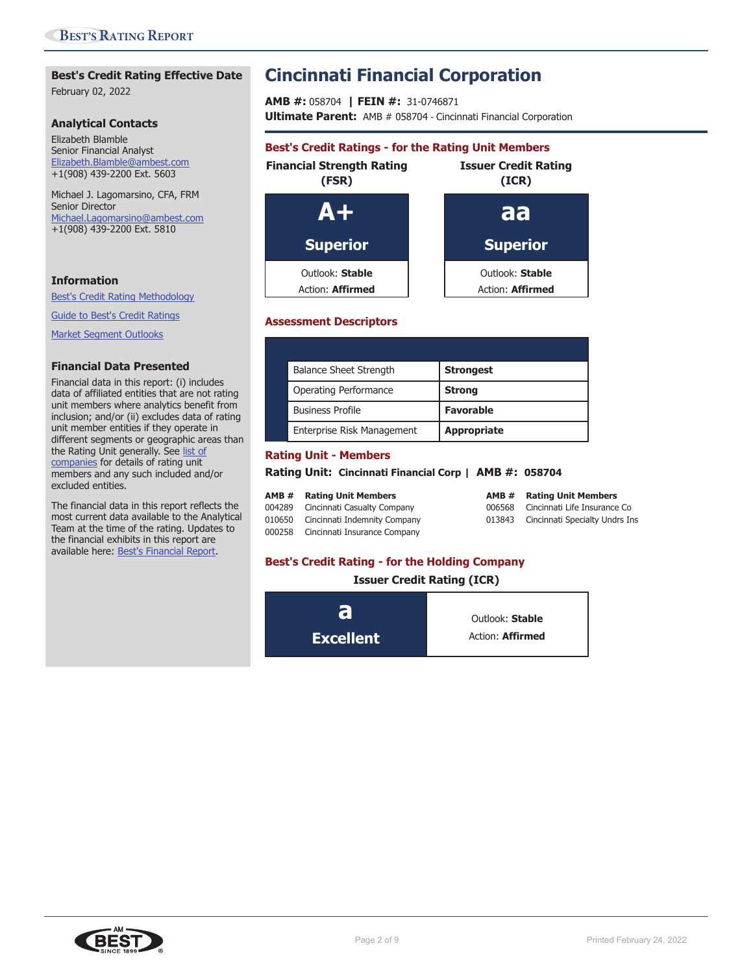## **Best's Credit Rating Effective Date**

February 02, 2022

#### **Analytical Contacts**

Elizabeth Blamble Senior Financial Analyst Elizabeth.Blamble@ambest.com +1(908) 439-2200 Ext. 5603

Michael J. Lagomarsino, CFA, FRM Senior Director Michael.Lagomarsino@ambest.com +1(908) 439-2200 Ext. 5810

### **Information**

Best's Credit Rating Methodology

Guide to Best's Credit Ratings

Market Segment Outlooks

#### **Financial Data Presented**

Financial data in this report: (i) includes data of affiliated entities that are not rating unit members where analytics benefit from inclusion; and/or (ii) excludes data of rating unit member entities if they operate in different segments or geographic areas than the Rating Unit generally. See list of companies for details of rating unit members and any such included and/or excluded entities.

The financial data in this report reflects the most current data available to the Analytical Team at the time of the rating. Updates to the financial exhibits in this report are available here: Best's Financial Report.

# **Cincinnati Financial Corporation**

**AMB #:** 058704 **| FEIN #:** 31-0746871 **Ultimate Parent:** AMB # 058704 - Cincinnati Financial Corporation

# **Best's Credit Ratings - for the Rating Unit Members Financial Strength Rating Issuer Credit Rating (FSR) (ICR) A+ aa Superior Superior** Outlook: **Stable** Outlook: **Stable** Action: **Affirmed Action: Affirmed**

### **Assessment Descriptors**

| <b>Balance Sheet Strength</b> | <b>Strongest</b>   |
|-------------------------------|--------------------|
| Operating Performance         | <b>Strong</b>      |
| <b>Business Profile</b>       | <b>Favorable</b>   |
| Enterprise Risk Management    | <b>Appropriate</b> |

## **Rating Unit - Members**

**Rating Unit: Cincinnati Financial Corp | AMB #: 058704**

| <b>AMB # Rating Unit Members</b>    | <b>AMB # Rating Unit Members</b>      |
|-------------------------------------|---------------------------------------|
| 004289 Cincinnati Casualty Company  | 006568 Cincinnati Life Insurance Co   |
| 010650 Cincinnati Indemnity Company | 013843 Cincinnati Specialty Undrs Ins |
| 000258 Cincinnati Insurance Company |                                       |

## **Best's Credit Rating - for the Holding Company**

**Issuer Credit Rating (ICR)**



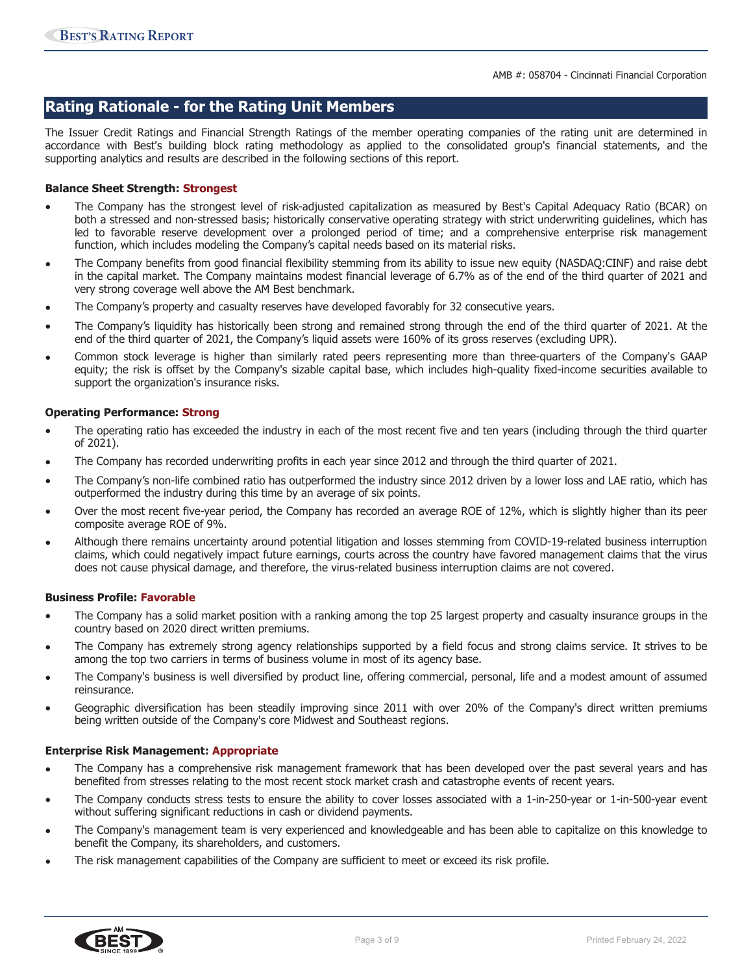## **Rating Rationale - for the Rating Unit Members**

The Issuer Credit Ratings and Financial Strength Ratings of the member operating companies of the rating unit are determined in accordance with Best's building block rating methodology as applied to the consolidated group's financial statements, and the supporting analytics and results are described in the following sections of this report.

### **Balance Sheet Strength: Strongest**

- The Company has the strongest level of risk-adjusted capitalization as measured by Best's Capital Adequacy Ratio (BCAR) on both a stressed and non-stressed basis; historically conservative operating strategy with strict underwriting guidelines, which has led to favorable reserve development over a prolonged period of time; and a comprehensive enterprise risk management function, which includes modeling the Company's capital needs based on its material risks.
- The Company benefits from good financial flexibility stemming from its ability to issue new equity (NASDAQ:CINF) and raise debt in the capital market. The Company maintains modest financial leverage of 6.7% as of the end of the third quarter of 2021 and very strong coverage well above the AM Best benchmark.
- The Company's property and casualty reserves have developed favorably for 32 consecutive years.
- The Company's liquidity has historically been strong and remained strong through the end of the third quarter of 2021. At the end of the third quarter of 2021, the Company's liquid assets were 160% of its gross reserves (excluding UPR).
- Common stock leverage is higher than similarly rated peers representing more than three-quarters of the Company's GAAP equity; the risk is offset by the Company's sizable capital base, which includes high-quality fixed-income securities available to support the organization's insurance risks.

#### **Operating Performance: Strong**

- The operating ratio has exceeded the industry in each of the most recent five and ten years (including through the third quarter of 2021).
- The Company has recorded underwriting profits in each year since 2012 and through the third quarter of 2021.
- The Company's non-life combined ratio has outperformed the industry since 2012 driven by a lower loss and LAE ratio, which has outperformed the industry during this time by an average of six points.
- Over the most recent five-year period, the Company has recorded an average ROE of 12%, which is slightly higher than its peer composite average ROE of 9%.
- Although there remains uncertainty around potential litigation and losses stemming from COVID-19-related business interruption claims, which could negatively impact future earnings, courts across the country have favored management claims that the virus does not cause physical damage, and therefore, the virus-related business interruption claims are not covered.

#### **Business Profile: Favorable**

- The Company has a solid market position with a ranking among the top 25 largest property and casualty insurance groups in the country based on 2020 direct written premiums.
- The Company has extremely strong agency relationships supported by a field focus and strong claims service. It strives to be among the top two carriers in terms of business volume in most of its agency base.
- The Company's business is well diversified by product line, offering commercial, personal, life and a modest amount of assumed reinsurance.
- Geographic diversification has been steadily improving since 2011 with over 20% of the Company's direct written premiums being written outside of the Company's core Midwest and Southeast regions.

#### **Enterprise Risk Management: Appropriate**

- The Company has a comprehensive risk management framework that has been developed over the past several years and has benefited from stresses relating to the most recent stock market crash and catastrophe events of recent years.
- The Company conducts stress tests to ensure the ability to cover losses associated with a 1-in-250-year or 1-in-500-year event without suffering significant reductions in cash or dividend payments.
- The Company's management team is very experienced and knowledgeable and has been able to capitalize on this knowledge to benefit the Company, its shareholders, and customers.
- The risk management capabilities of the Company are sufficient to meet or exceed its risk profile.

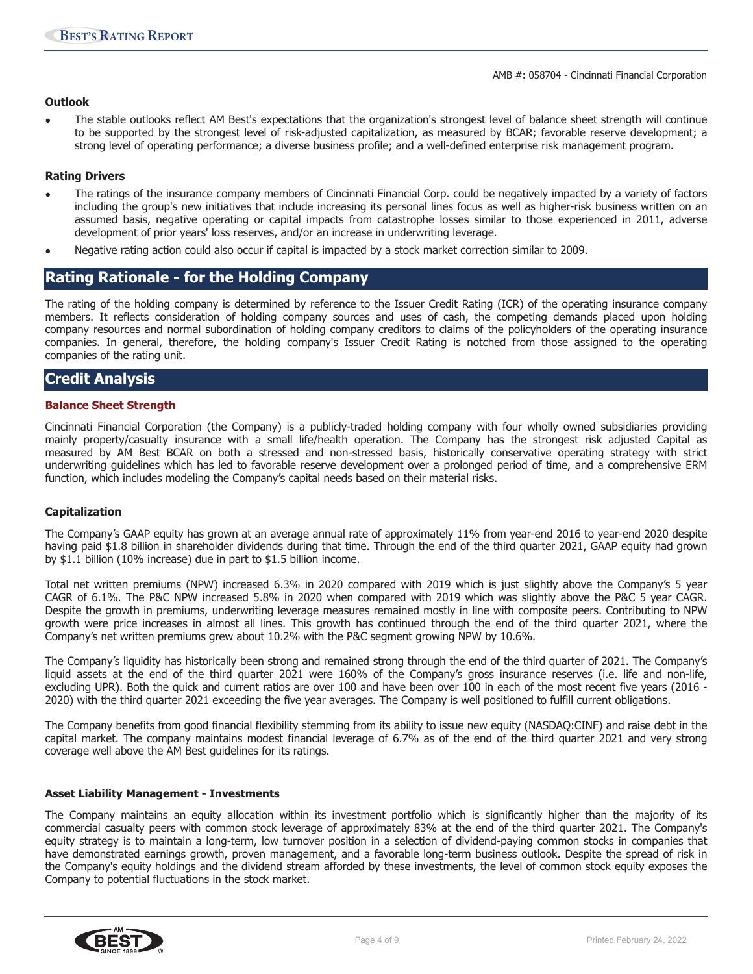## **Outlook**

• The stable outlooks reflect AM Best's expectations that the organization's strongest level of balance sheet strength will continue to be supported by the strongest level of risk-adjusted capitalization, as measured by BCAR; favorable reserve development; a strong level of operating performance; a diverse business profile; and a well-defined enterprise risk management program.

### **Rating Drivers**

- The ratings of the insurance company members of Cincinnati Financial Corp. could be negatively impacted by a variety of factors including the group's new initiatives that include increasing its personal lines focus as well as higher-risk business written on an assumed basis, negative operating or capital impacts from catastrophe losses similar to those experienced in 2011, adverse development of prior years' loss reserves, and/or an increase in underwriting leverage.
- Negative rating action could also occur if capital is impacted by a stock market correction similar to 2009.

## **Rating Rationale - for the Holding Company**

The rating of the holding company is determined by reference to the Issuer Credit Rating (ICR) of the operating insurance company members. It reflects consideration of holding company sources and uses of cash, the competing demands placed upon holding company resources and normal subordination of holding company creditors to claims of the policyholders of the operating insurance companies. In general, therefore, the holding company's Issuer Credit Rating is notched from those assigned to the operating companies of the rating unit.

## **Credit Analysis**

#### **Balance Sheet Strength**

Cincinnati Financial Corporation (the Company) is a publicly-traded holding company with four wholly owned subsidiaries providing mainly property/casualty insurance with a small life/health operation. The Company has the strongest risk adjusted Capital as measured by AM Best BCAR on both a stressed and non-stressed basis, historically conservative operating strategy with strict underwriting guidelines which has led to favorable reserve development over a prolonged period of time, and a comprehensive ERM function, which includes modeling the Company's capital needs based on their material risks.

#### **Capitalization**

The Company's GAAP equity has grown at an average annual rate of approximately 11% from year-end 2016 to year-end 2020 despite having paid \$1.8 billion in shareholder dividends during that time. Through the end of the third quarter 2021, GAAP equity had grown by \$1.1 billion (10% increase) due in part to \$1.5 billion income.

Total net written premiums (NPW) increased 6.3% in 2020 compared with 2019 which is just slightly above the Company's 5 year CAGR of 6.1%. The P&C NPW increased 5.8% in 2020 when compared with 2019 which was slightly above the P&C 5 year CAGR. Despite the growth in premiums, underwriting leverage measures remained mostly in line with composite peers. Contributing to NPW growth were price increases in almost all lines. This growth has continued through the end of the third quarter 2021, where the Company's net written premiums grew about 10.2% with the P&C segment growing NPW by 10.6%.

The Company's liquidity has historically been strong and remained strong through the end of the third quarter of 2021. The Company's liquid assets at the end of the third quarter 2021 were 160% of the Company's gross insurance reserves (i.e. life and non-life, excluding UPR). Both the quick and current ratios are over 100 and have been over 100 in each of the most recent five years (2016 - 2020) with the third quarter 2021 exceeding the five year averages. The Company is well positioned to fulfill current obligations.

The Company benefits from good financial flexibility stemming from its ability to issue new equity (NASDAQ:CINF) and raise debt in the capital market. The company maintains modest financial leverage of 6.7% as of the end of the third quarter 2021 and very strong coverage well above the AM Best guidelines for its ratings.

#### **Asset Liability Management - Investments**

The Company maintains an equity allocation within its investment portfolio which is significantly higher than the majority of its commercial casualty peers with common stock leverage of approximately 83% at the end of the third quarter 2021. The Company's equity strategy is to maintain a long-term, low turnover position in a selection of dividend-paying common stocks in companies that have demonstrated earnings growth, proven management, and a favorable long-term business outlook. Despite the spread of risk in the Company's equity holdings and the dividend stream afforded by these investments, the level of common stock equity exposes the Company to potential fluctuations in the stock market.

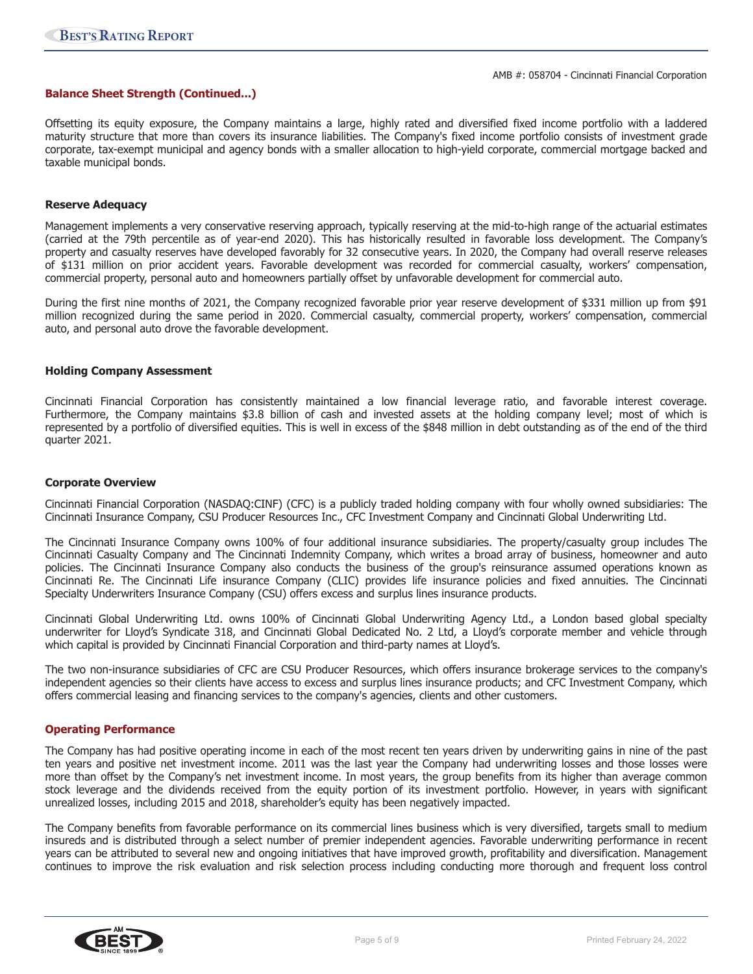#### **Balance Sheet Strength (Continued...)**

Offsetting its equity exposure, the Company maintains a large, highly rated and diversified fixed income portfolio with a laddered maturity structure that more than covers its insurance liabilities. The Company's fixed income portfolio consists of investment grade corporate, tax-exempt municipal and agency bonds with a smaller allocation to high-yield corporate, commercial mortgage backed and taxable municipal bonds.

#### **Reserve Adequacy**

Management implements a very conservative reserving approach, typically reserving at the mid-to-high range of the actuarial estimates (carried at the 79th percentile as of year-end 2020). This has historically resulted in favorable loss development. The Company's property and casualty reserves have developed favorably for 32 consecutive years. In 2020, the Company had overall reserve releases of \$131 million on prior accident years. Favorable development was recorded for commercial casualty, workers' compensation, commercial property, personal auto and homeowners partially offset by unfavorable development for commercial auto.

During the first nine months of 2021, the Company recognized favorable prior year reserve development of \$331 million up from \$91 million recognized during the same period in 2020. Commercial casualty, commercial property, workers' compensation, commercial auto, and personal auto drove the favorable development.

#### **Holding Company Assessment**

Cincinnati Financial Corporation has consistently maintained a low financial leverage ratio, and favorable interest coverage. Furthermore, the Company maintains \$3.8 billion of cash and invested assets at the holding company level; most of which is represented by a portfolio of diversified equities. This is well in excess of the \$848 million in debt outstanding as of the end of the third quarter 2021.

#### **Corporate Overview**

Cincinnati Financial Corporation (NASDAQ:CINF) (CFC) is a publicly traded holding company with four wholly owned subsidiaries: The Cincinnati Insurance Company, CSU Producer Resources Inc., CFC Investment Company and Cincinnati Global Underwriting Ltd.

The Cincinnati Insurance Company owns 100% of four additional insurance subsidiaries. The property/casualty group includes The Cincinnati Casualty Company and The Cincinnati Indemnity Company, which writes a broad array of business, homeowner and auto policies. The Cincinnati Insurance Company also conducts the business of the group's reinsurance assumed operations known as Cincinnati Re. The Cincinnati Life insurance Company (CLIC) provides life insurance policies and fixed annuities. The Cincinnati Specialty Underwriters Insurance Company (CSU) offers excess and surplus lines insurance products.

Cincinnati Global Underwriting Ltd. owns 100% of Cincinnati Global Underwriting Agency Ltd., a London based global specialty underwriter for Lloyd's Syndicate 318, and Cincinnati Global Dedicated No. 2 Ltd, a Lloyd's corporate member and vehicle through which capital is provided by Cincinnati Financial Corporation and third-party names at Lloyd's.

The two non-insurance subsidiaries of CFC are CSU Producer Resources, which offers insurance brokerage services to the company's independent agencies so their clients have access to excess and surplus lines insurance products; and CFC Investment Company, which offers commercial leasing and financing services to the company's agencies, clients and other customers.

#### **Operating Performance**

The Company has had positive operating income in each of the most recent ten years driven by underwriting gains in nine of the past ten years and positive net investment income. 2011 was the last year the Company had underwriting losses and those losses were more than offset by the Company's net investment income. In most years, the group benefits from its higher than average common stock leverage and the dividends received from the equity portion of its investment portfolio. However, in years with significant unrealized losses, including 2015 and 2018, shareholder's equity has been negatively impacted.

The Company benefits from favorable performance on its commercial lines business which is very diversified, targets small to medium insureds and is distributed through a select number of premier independent agencies. Favorable underwriting performance in recent years can be attributed to several new and ongoing initiatives that have improved growth, profitability and diversification. Management continues to improve the risk evaluation and risk selection process including conducting more thorough and frequent loss control

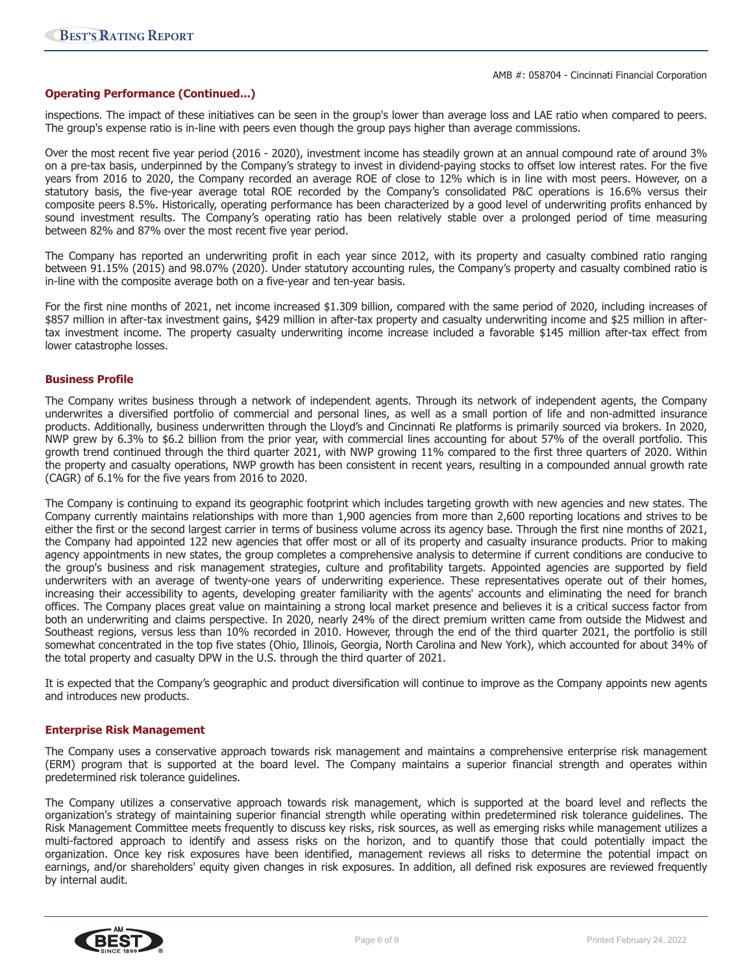#### **Operating Performance (Continued...)**

inspections. The impact of these initiatives can be seen in the group's lower than average loss and LAE ratio when compared to peers. The group's expense ratio is in-line with peers even though the group pays higher than average commissions.

Over the most recent five year period (2016 - 2020), investment income has steadily grown at an annual compound rate of around 3% on a pre-tax basis, underpinned by the Company's strategy to invest in dividend-paying stocks to offset low interest rates. For the five years from 2016 to 2020, the Company recorded an average ROE of close to 12% which is in line with most peers. However, on a statutory basis, the five-year average total ROE recorded by the Company's consolidated P&C operations is 16.6% versus their composite peers 8.5%. Historically, operating performance has been characterized by a good level of underwriting profits enhanced by sound investment results. The Company's operating ratio has been relatively stable over a prolonged period of time measuring between 82% and 87% over the most recent five year period.

The Company has reported an underwriting profit in each year since 2012, with its property and casualty combined ratio ranging between 91.15% (2015) and 98.07% (2020). Under statutory accounting rules, the Company's property and casualty combined ratio is in-line with the composite average both on a five-year and ten-year basis.

For the first nine months of 2021, net income increased \$1.309 billion, compared with the same period of 2020, including increases of \$857 million in after-tax investment gains, \$429 million in after-tax property and casualty underwriting income and \$25 million in aftertax investment income. The property casualty underwriting income increase included a favorable \$145 million after-tax effect from lower catastrophe losses.

#### **Business Profile**

The Company writes business through a network of independent agents. Through its network of independent agents, the Company underwrites a diversified portfolio of commercial and personal lines, as well as a small portion of life and non-admitted insurance products. Additionally, business underwritten through the Lloyd's and Cincinnati Re platforms is primarily sourced via brokers. In 2020, NWP grew by 6.3% to \$6.2 billion from the prior year, with commercial lines accounting for about 57% of the overall portfolio. This growth trend continued through the third quarter 2021, with NWP growing 11% compared to the first three quarters of 2020. Within the property and casualty operations, NWP growth has been consistent in recent years, resulting in a compounded annual growth rate (CAGR) of 6.1% for the five years from 2016 to 2020.

The Company is continuing to expand its geographic footprint which includes targeting growth with new agencies and new states. The Company currently maintains relationships with more than 1,900 agencies from more than 2,600 reporting locations and strives to be either the first or the second largest carrier in terms of business volume across its agency base. Through the first nine months of 2021, the Company had appointed 122 new agencies that offer most or all of its property and casualty insurance products. Prior to making agency appointments in new states, the group completes a comprehensive analysis to determine if current conditions are conducive to the group's business and risk management strategies, culture and profitability targets. Appointed agencies are supported by field underwriters with an average of twenty-one years of underwriting experience. These representatives operate out of their homes, increasing their accessibility to agents, developing greater familiarity with the agents' accounts and eliminating the need for branch offices. The Company places great value on maintaining a strong local market presence and believes it is a critical success factor from both an underwriting and claims perspective. In 2020, nearly 24% of the direct premium written came from outside the Midwest and Southeast regions, versus less than 10% recorded in 2010. However, through the end of the third quarter 2021, the portfolio is still somewhat concentrated in the top five states (Ohio, Illinois, Georgia, North Carolina and New York), which accounted for about 34% of the total property and casualty DPW in the U.S. through the third quarter of 2021.

It is expected that the Company's geographic and product diversification will continue to improve as the Company appoints new agents and introduces new products.

#### **Enterprise Risk Management**

The Company uses a conservative approach towards risk management and maintains a comprehensive enterprise risk management (ERM) program that is supported at the board level. The Company maintains a superior financial strength and operates within predetermined risk tolerance guidelines.

The Company utilizes a conservative approach towards risk management, which is supported at the board level and reflects the organization's strategy of maintaining superior financial strength while operating within predetermined risk tolerance guidelines. The Risk Management Committee meets frequently to discuss key risks, risk sources, as well as emerging risks while management utilizes a multi-factored approach to identify and assess risks on the horizon, and to quantify those that could potentially impact the organization. Once key risk exposures have been identified, management reviews all risks to determine the potential impact on earnings, and/or shareholders' equity given changes in risk exposures. In addition, all defined risk exposures are reviewed frequently by internal audit.

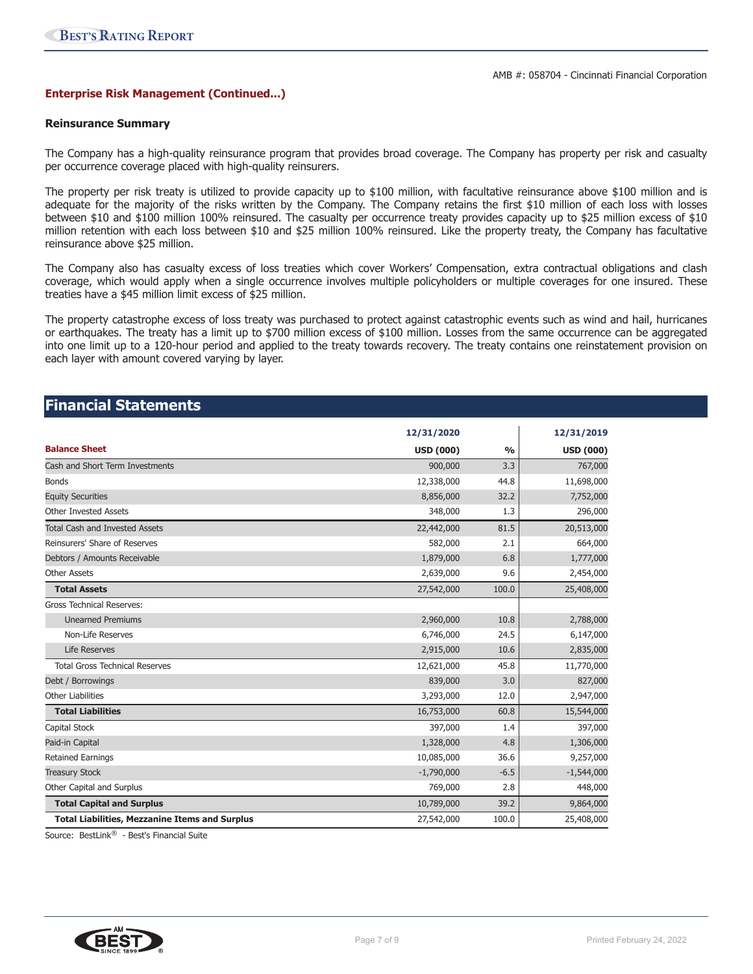#### **Enterprise Risk Management (Continued...)**

#### **Reinsurance Summary**

The Company has a high-quality reinsurance program that provides broad coverage. The Company has property per risk and casualty per occurrence coverage placed with high-quality reinsurers.

The property per risk treaty is utilized to provide capacity up to \$100 million, with facultative reinsurance above \$100 million and is adequate for the majority of the risks written by the Company. The Company retains the first \$10 million of each loss with losses between \$10 and \$100 million 100% reinsured. The casualty per occurrence treaty provides capacity up to \$25 million excess of \$10 million retention with each loss between \$10 and \$25 million 100% reinsured. Like the property treaty, the Company has facultative reinsurance above \$25 million.

The Company also has casualty excess of loss treaties which cover Workers' Compensation, extra contractual obligations and clash coverage, which would apply when a single occurrence involves multiple policyholders or multiple coverages for one insured. These treaties have a \$45 million limit excess of \$25 million.

The property catastrophe excess of loss treaty was purchased to protect against catastrophic events such as wind and hail, hurricanes or earthquakes. The treaty has a limit up to \$700 million excess of \$100 million. Losses from the same occurrence can be aggregated into one limit up to a 120-hour period and applied to the treaty towards recovery. The treaty contains one reinstatement provision on each layer with amount covered varying by layer.

## **Financial Statements**

|                                                       | 12/31/2020       |               | 12/31/2019       |
|-------------------------------------------------------|------------------|---------------|------------------|
| <b>Balance Sheet</b>                                  | <b>USD (000)</b> | $\frac{0}{0}$ | <b>USD (000)</b> |
| Cash and Short Term Investments                       | 900,000          | 3.3           | 767,000          |
| <b>Bonds</b>                                          | 12,338,000       | 44.8          | 11,698,000       |
| <b>Equity Securities</b>                              | 8,856,000        | 32.2          | 7,752,000        |
| <b>Other Invested Assets</b>                          | 348,000          | 1.3           | 296,000          |
| <b>Total Cash and Invested Assets</b>                 | 22,442,000       | 81.5          | 20,513,000       |
| Reinsurers' Share of Reserves                         | 582,000          | 2.1           | 664,000          |
| Debtors / Amounts Receivable                          | 1,879,000        | 6.8           | 1,777,000        |
| <b>Other Assets</b>                                   | 2,639,000        | 9.6           | 2,454,000        |
| <b>Total Assets</b>                                   | 27,542,000       | 100.0         | 25,408,000       |
| <b>Gross Technical Reserves:</b>                      |                  |               |                  |
| <b>Unearned Premiums</b>                              | 2,960,000        | 10.8          | 2,788,000        |
| Non-Life Reserves                                     | 6,746,000        | 24.5          | 6,147,000        |
| <b>Life Reserves</b>                                  | 2,915,000        | 10.6          | 2,835,000        |
| <b>Total Gross Technical Reserves</b>                 | 12,621,000       | 45.8          | 11,770,000       |
| Debt / Borrowings                                     | 839,000          | 3.0           | 827,000          |
| <b>Other Liabilities</b>                              | 3,293,000        | 12.0          | 2,947,000        |
| <b>Total Liabilities</b>                              | 16,753,000       | 60.8          | 15,544,000       |
| Capital Stock                                         | 397,000          | 1.4           | 397,000          |
| Paid-in Capital                                       | 1,328,000        | 4.8           | 1,306,000        |
| <b>Retained Earnings</b>                              | 10,085,000       | 36.6          | 9,257,000        |
| <b>Treasury Stock</b>                                 | $-1,790,000$     | $-6.5$        | $-1,544,000$     |
| Other Capital and Surplus                             | 769,000          | 2.8           | 448,000          |
| <b>Total Capital and Surplus</b>                      | 10,789,000       | 39.2          | 9,864,000        |
| <b>Total Liabilities, Mezzanine Items and Surplus</b> | 27,542,000       | 100.0         | 25,408,000       |

Source: BestLink® - Best's Financial Suite

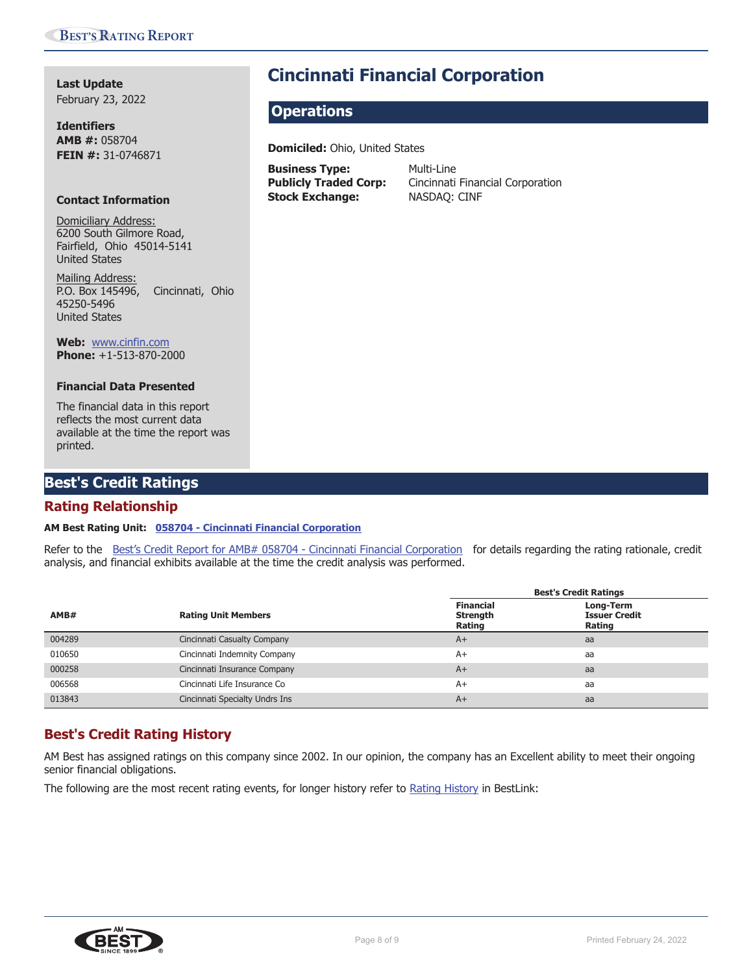**Last Update** February 23, 2022

**Identifiers AMB #:** 058704 **FEIN #:** 31-0746871

#### **Contact Information**

Domiciliary Address: 6200 South Gilmore Road, Fairfield, Ohio 45014-5141 United States

Mailing Address: P.O. Box 145496, Cincinnati, Ohio 45250-5496 United States

**Web:** www.cinfin.com **Phone:** +1-513-870-2000

#### **Financial Data Presented**

The financial data in this report reflects the most current data available at the time the report was printed.

## **Best's Credit Ratings**

## **Rating Relationship**

### **AM Best Rating Unit: 058704 - Cincinnati Financial Corporation**

Refer to the Best's Credit Report for AMB# 058704 - Cincinnati Financial Corporation for details regarding the rating rationale, credit analysis, and financial exhibits available at the time the credit analysis was performed.

|        |                                | <b>Best's Credit Ratings</b>                  |                                             |  |
|--------|--------------------------------|-----------------------------------------------|---------------------------------------------|--|
| AMB#   | <b>Rating Unit Members</b>     | <b>Financial</b><br><b>Strength</b><br>Rating | Long-Term<br><b>Issuer Credit</b><br>Rating |  |
| 004289 | Cincinnati Casualty Company    | $A+$                                          | aa                                          |  |
| 010650 | Cincinnati Indemnity Company   | $A+$                                          | aa                                          |  |
| 000258 | Cincinnati Insurance Company   | $A+$                                          | aa                                          |  |
| 006568 | Cincinnati Life Insurance Co   | $A+$                                          | aa                                          |  |
| 013843 | Cincinnati Specialty Undrs Ins | $A+$                                          | aa                                          |  |

## **Best's Credit Rating History**

AM Best has assigned ratings on this company since 2002. In our opinion, the company has an Excellent ability to meet their ongoing senior financial obligations.

The following are the most recent rating events, for longer history refer to Rating History in BestLink:



# **Cincinnati Financial Corporation**

## **Operations**

**Domiciled:** Ohio, United States

**Business Type:** Multi-Line **Stock Exchange:** NASDAQ: CINF

Publicly Traded Corp: Cincinnati Financial Corporation